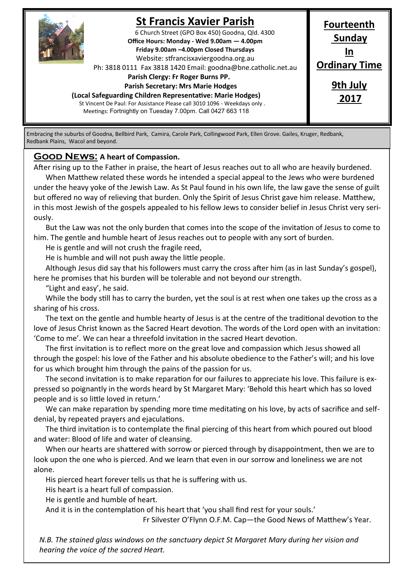

# **St Francis Xavier Parish**

6 Church Street (GPO Box 450) Goodna, Qld. 4300 **Office Hours: Monday - Wed 9.00am — 4.00pm Friday 9.00am –4.00pm Closed Thursdays**  Website: stfrancisxaviergoodna.org.au

Ph: 3818 0111 Fax 3818 1420 Email: goodna@bne.catholic.net.au

 **Parish Clergy: Fr Roger Burns PP.** 

 **Parish Secretary: Mrs Marie Hodges**

**(Local Safeguarding Children Representative: Marie Hodges)** St Vincent De Paul: For Assistance Please call 3010 1096 - Weekdays only . Meetings: Fortnightly on Tuesday 7.00pm. Call 0427 663 118

**Fourteenth Sunday In Ordinary Time 9th July**

**2017**

Embracing the suburbs of Goodna, Bellbird Park, Camira, Carole Park, Collingwood Park, Ellen Grove. Gailes, Kruger, Redbank, Redbank Plains, Wacol and beyond.

#### **Good News: A heart of Compassion.**

After rising up to the Father in praise, the heart of Jesus reaches out to all who are heavily burdened. When Matthew related these words he intended a special appeal to the Jews who were burdened under the heavy yoke of the Jewish Law. As St Paul found in his own life, the law gave the sense of guilt but offered no way of relieving that burden. Only the Spirit of Jesus Christ gave him release. Matthew, in this most Jewish of the gospels appealed to his fellow Jews to consider belief in Jesus Christ very seriously.

But the Law was not the only burden that comes into the scope of the invitation of Jesus to come to him. The gentle and humble heart of Jesus reaches out to people with any sort of burden.

He is gentle and will not crush the fragile reed,

He is humble and will not push away the little people.

Although Jesus did say that his followers must carry the cross after him (as in last Sunday's gospel), here he promises that his burden will be tolerable and not beyond our strength.

"Light and easy', he said.

While the body still has to carry the burden, yet the soul is at rest when one takes up the cross as a sharing of his cross.

The text on the gentle and humble hearty of Jesus is at the centre of the traditional devotion to the love of Jesus Christ known as the Sacred Heart devotion. The words of the Lord open with an invitation: 'Come to me'. We can hear a threefold invitation in the sacred Heart devotion.

The first invitation is to reflect more on the great love and compassion which Jesus showed all through the gospel: his love of the Father and his absolute obedience to the Father's will; and his love for us which brought him through the pains of the passion for us.

The second invitation is to make reparation for our failures to appreciate his love. This failure is expressed so poignantly in the words heard by St Margaret Mary: 'Behold this heart which has so loved people and is so little loved in return.'

We can make reparation by spending more time meditating on his love, by acts of sacrifice and selfdenial, by repeated prayers and ejaculations.

The third invitation is to contemplate the final piercing of this heart from which poured out blood and water: Blood of life and water of cleansing.

When our hearts are shattered with sorrow or pierced through by disappointment, then we are to look upon the one who is pierced. And we learn that even in our sorrow and loneliness we are not alone.

His pierced heart forever tells us that he is suffering with us.

His heart is a heart full of compassion.

He is gentle and humble of heart.

And it is in the contemplation of his heart that 'you shall find rest for your souls.'

Fr Silvester O'Flynn O.F.M. Cap—the Good News of Matthew's Year.

 *N.B. The stained glass windows on the sanctuary depict St Margaret Mary during her vision and hearing the voice of the sacred Heart.*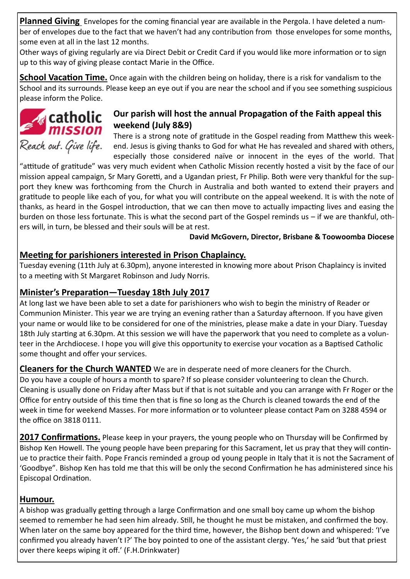**Planned Giving** Envelopes for the coming financial year are available in the Pergola. I have deleted a number of envelopes due to the fact that we haven't had any contribution from those envelopes for some months, some even at all in the last 12 months.

Other ways of giving regularly are via Direct Debit or Credit Card if you would like more information or to sign up to this way of giving please contact Marie in the Office.

**School Vacation Time.** Once again with the children being on holiday, there is a risk for vandalism to the School and its surrounds. Please keep an eye out if you are near the school and if you see something suspicious please inform the Police.



**Our parish will host the annual Propagation of the Faith appeal this weekend (July 8&9)**

There is a strong note of gratitude in the Gospel reading from Matthew this weekend. Jesus is giving thanks to God for what He has revealed and shared with others, especially those considered naïve or innocent in the eyes of the world. That

"attitude of gratitude" was very much evident when Catholic Mission recently hosted a visit by the face of our mission appeal campaign, Sr Mary Goretti, and a Ugandan priest, Fr Philip. Both were very thankful for the support they knew was forthcoming from the Church in Australia and both wanted to extend their prayers and gratitude to people like each of you, for what you will contribute on the appeal weekend. It is with the note of thanks, as heard in the Gospel introduction, that we can then move to actually impacting lives and easing the burden on those less fortunate. This is what the second part of the Gospel reminds us – if we are thankful, others will, in turn, be blessed and their souls will be at rest.

#### **David McGovern, Director, Brisbane & Toowoomba Diocese**

### **Meeting for parishioners interested in Prison Chaplaincy.**

Tuesday evening (11th July at 6.30pm), anyone interested in knowing more about Prison Chaplaincy is invited to a meeting with St Margaret Robinson and Judy Norris.

## **Minister's Preparation—Tuesday 18th July 2017**

At long last we have been able to set a date for parishioners who wish to begin the ministry of Reader or Communion Minister. This year we are trying an evening rather than a Saturday afternoon. If you have given your name or would like to be considered for one of the ministries, please make a date in your Diary. Tuesday 18th July starting at 6.30pm. At this session we will have the paperwork that you need to complete as a volunteer in the Archdiocese. I hope you will give this opportunity to exercise your vocation as a Baptised Catholic some thought and offer your services.

### **Cleaners for the Church WANTED** We are in desperate need of more cleaners for the Church.

Do you have a couple of hours a month to spare? If so please consider volunteering to clean the Church. Cleaning is usually done on Friday after Mass but if that is not suitable and you can arrange with Fr Roger or the Office for entry outside of this time then that is fine so long as the Church is cleaned towards the end of the week in time for weekend Masses. For more information or to volunteer please contact Pam on 3288 4594 or the office on 3818 0111.

**2017 Confirmations.** Please keep in your prayers, the young people who on Thursday will be Confirmed by Bishop Ken Howell. The young people have been preparing for this Sacrament, let us pray that they will continue to practice their faith. Pope Francis reminded a group od young people in Italy that it is not the Sacrament of 'Goodbye". Bishop Ken has told me that this will be only the second Confirmation he has administered since his Episcopal Ordination.

### **Humour.**

A bishop was gradually getting through a large Confirmation and one small boy came up whom the bishop seemed to remember he had seen him already. Still, he thought he must be mistaken, and confirmed the boy. When later on the same boy appeared for the third time, however, the Bishop bent down and whispered: 'I've confirmed you already haven't I?' The boy pointed to one of the assistant clergy. 'Yes,' he said 'but that priest over there keeps wiping it off.' (F.H.Drinkwater)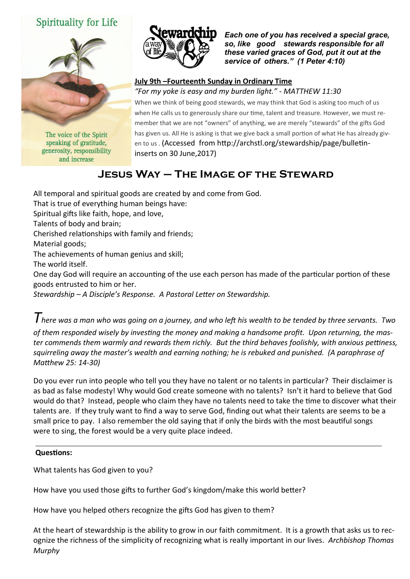## **Spirituality for Life**



The voice of the Spirit speaking of gratitude, generosity, responsibility and increase



*Each one of you has received a special grace, so, like good stewards responsible for all these varied graces of God, put it out at the service of others." (1 Peter 4:10)* 

#### **July 9th –Fourteenth Sunday in Ordinary Time**

*"For my yoke is easy and my burden light."* - *MATTHEW 11:30*

When we think of being good stewards, we may think that God is asking too much of us when He calls us to generously share our time, talent and treasure. However, we must remember that we are not "owners" of anything, we are merely "stewards" of the gifts God has given us. All He is asking is that we give back a small portion of what He has already given to us . (Accessed from http://archstl.org/stewardship/page/bulletininserts on 30 June,2017)

## **Jesus Way – The Image of the Steward**

All temporal and spiritual goods are created by and come from God.

That is true of everything human beings have:

Spiritual gifts like faith, hope, and love,

Talents of body and brain;

Cherished relationships with family and friends;

Material goods;

The achievements of human genius and skill;

The world itself.

One day God will require an accounting of the use each person has made of the particular portion of these goods entrusted to him or her.

*Stewardship – A Disciple's Response. A Pastoral Letter on Stewardship.*

*There was a man who was going on a journey, and who left his wealth to be tended by three servants. Two of them responded wisely by investing the money and making a handsome profit. Upon returning, the master commends them warmly and rewards them richly. But the third behaves foolishly, with anxious pettiness, squirreling away the master's wealth and earning nothing; he is rebuked and punished. (A paraphrase of Matthew 25: 14-30)*

Do you ever run into people who tell you they have no talent or no talents in particular? Their disclaimer is as bad as false modesty! Why would God create someone with no talents? Isn't it hard to believe that God would do that? Instead, people who claim they have no talents need to take the time to discover what their talents are. If they truly want to find a way to serve God, finding out what their talents are seems to be a small price to pay. I also remember the old saying that if only the birds with the most beautiful songs were to sing, the forest would be a very quite place indeed.

#### **Questions:**

What talents has God given to you?

How have you used those gifts to further God's kingdom/make this world better?

How have you helped others recognize the gifts God has given to them?

At the heart of stewardship is the ability to grow in our faith commitment. It is a growth that asks us to recognize the richness of the simplicity of recognizing what is really important in our lives. *Archbishop Thomas Murphy*